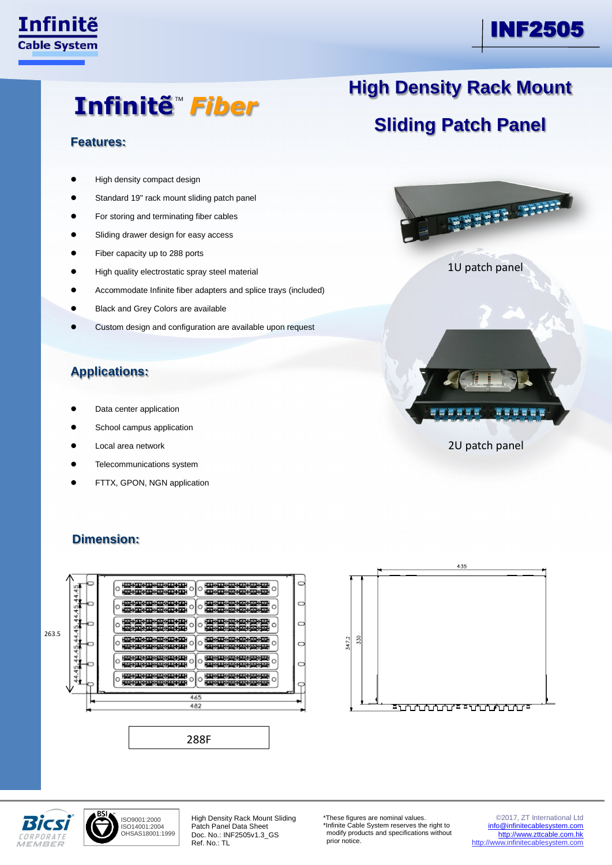### Infinite **Cable System**

Ī

## INF2505

# Infinitẽ™ *Fiber*

#### **Features:**

- High density compact design
- Standard 19" rack mount sliding patch panel
- For storing and terminating fiber cables
- Sliding drawer design for easy access
- Fiber capacity up to 288 ports
- High quality electrostatic spray steel material
- Accommodate Infinite fiber adapters and splice trays (included)
- Black and Grey Colors are available
- Custom design and configuration are available upon request

#### **Applications:**

- Data center application
- School campus application
- Local area network
- Telecommunications system
- FTTX, GPON, NGN application



<del>≖</del>₩₩₩₩₩₩₩₩₩₩₩

### **Dimension:**





ISO9001:2000 ISO14001:2004 OHSAS18001:1999

High Density Rack Mount Sliding Patch Panel Data Sheet Doc. No.: INF2505v1.3\_GS Ref. No.: TL

C

 $\circ$ 

\*These figures are nominal values. \*Infinite Cable System reserves the right to modify products and specifications without prior notice.

©2017, ZT International Ltd [info@infinitecablesystem.com](mailto:info@infinitecablesystem.com) [http://www.zttcable.com.hk](http://www.zttcable.com.hk/) [http://www.infinitecablesystem.com](http://www.infinitecablesystem.com/)

## **High Density Rack Mount**

## **Sliding Patch Panel**



2U patch panel